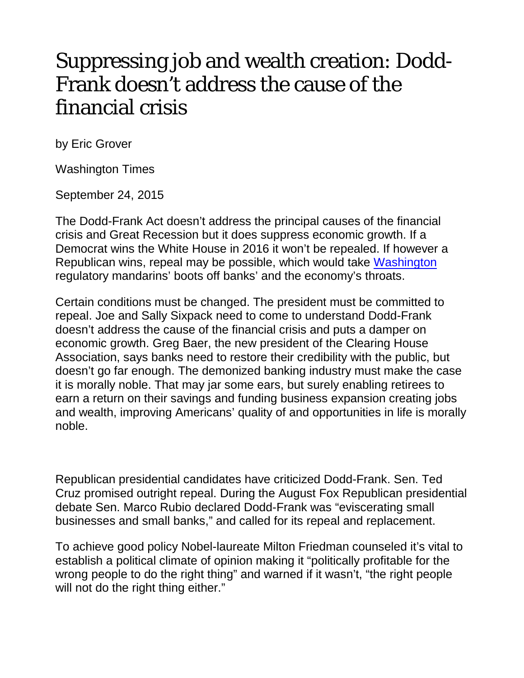## Suppressing job and wealth creation: Dodd-Frank doesn't address the cause of the financial crisis

by Eric Grover

Washington Times

September 24, 2015

The Dodd-Frank Act doesn't address the principal causes of the financial crisis and Great Recession but it does suppress economic growth. If a Democrat wins the White House in 2016 it won't be repealed. If however a Republican wins, repeal may be possible, which would take [Washington](http://www.washingtontimes.com/topics/washington/) regulatory mandarins' boots off banks' and the economy's throats.

Certain conditions must be changed. The president must be committed to repeal. Joe and Sally Sixpack need to come to understand Dodd-Frank doesn't address the cause of the financial crisis and puts a damper on economic growth. Greg Baer, the new president of the Clearing House Association, says banks need to restore their credibility with the public, but doesn't go far enough. The demonized banking industry must make the case it is morally noble. That may jar some ears, but surely enabling retirees to earn a return on their savings and funding business expansion creating jobs and wealth, improving Americans' quality of and opportunities in life is morally noble.

Republican presidential candidates have criticized Dodd-Frank. Sen. Ted Cruz promised outright repeal. During the August Fox Republican presidential debate Sen. Marco Rubio declared Dodd-Frank was "eviscerating small businesses and small banks," and called for its repeal and replacement.

To achieve good policy Nobel-laureate Milton Friedman counseled it's vital to establish a political climate of opinion making it "politically profitable for the wrong people to do the right thing" and warned if it wasn't, "the right people will not do the right thing either."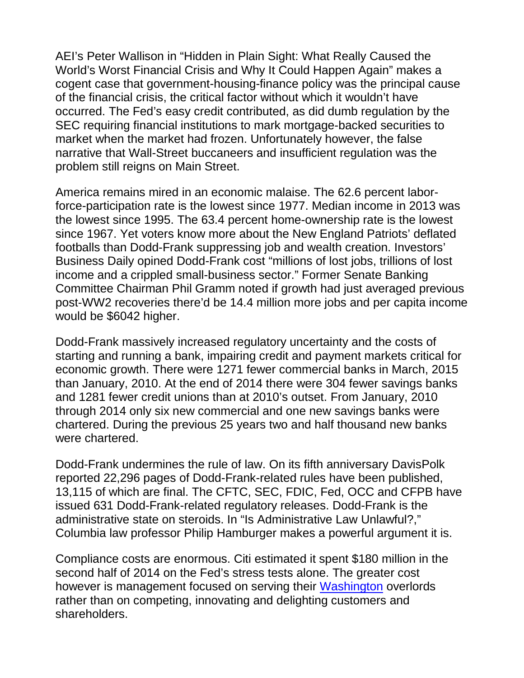AEI's Peter Wallison in "Hidden in Plain Sight: What Really Caused the World's Worst Financial Crisis and Why It Could Happen Again" makes a cogent case that government-housing-finance policy was the principal cause of the financial crisis, the critical factor without which it wouldn't have occurred. The Fed's easy credit contributed, as did dumb regulation by the SEC requiring financial institutions to mark mortgage-backed securities to market when the market had frozen. Unfortunately however, the false narrative that Wall-Street buccaneers and insufficient regulation was the problem still reigns on Main Street.

America remains mired in an economic malaise. The 62.6 percent laborforce-participation rate is the lowest since 1977. Median income in 2013 was the lowest since 1995. The 63.4 percent home-ownership rate is the lowest since 1967. Yet voters know more about the New England Patriots' deflated footballs than Dodd-Frank suppressing job and wealth creation. Investors' Business Daily opined Dodd-Frank cost "millions of lost jobs, trillions of lost income and a crippled small-business sector." Former Senate Banking Committee Chairman Phil Gramm noted if growth had just averaged previous post-WW2 recoveries there'd be 14.4 million more jobs and per capita income would be \$6042 higher.

Dodd-Frank massively increased regulatory uncertainty and the costs of starting and running a bank, impairing credit and payment markets critical for economic growth. There were 1271 fewer commercial banks in March, 2015 than January, 2010. At the end of 2014 there were 304 fewer savings banks and 1281 fewer credit unions than at 2010's outset. From January, 2010 through 2014 only six new commercial and one new savings banks were chartered. During the previous 25 years two and half thousand new banks were chartered.

Dodd-Frank undermines the rule of law. On its fifth anniversary DavisPolk reported 22,296 pages of Dodd-Frank-related rules have been published, 13,115 of which are final. The CFTC, SEC, FDIC, Fed, OCC and CFPB have issued 631 Dodd-Frank-related regulatory releases. Dodd-Frank is the administrative state on steroids. In "Is Administrative Law Unlawful?," Columbia law professor Philip Hamburger makes a powerful argument it is.

Compliance costs are enormous. Citi estimated it spent \$180 million in the second half of 2014 on the Fed's stress tests alone. The greater cost however is management focused on serving their [Washington](http://www.washingtontimes.com/topics/washington/) overlords rather than on competing, innovating and delighting customers and shareholders.